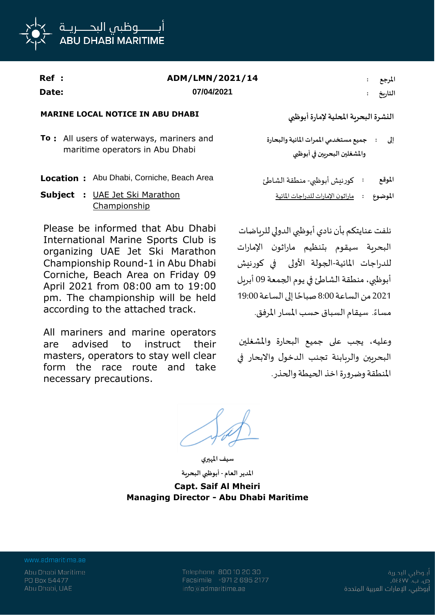

| <b>Ref</b> : | ADM/LMN/2021/14 | المرجع  |
|--------------|-----------------|---------|
| Date:        | 07/04/2021      | التاريخ |

## **MARINE LOCAL NOTICE IN ABU DHABI**

**To :** All users of waterways, mariners and maritime operators in Abu Dhabi

- **Location :** Abu Dhabi, Corniche, Beach Area
- **Subject :** UAE Jet Ski Marathon Championship

Please be informed that Abu Dhabi International Marine Sports Club is organizing UAE Jet Ski Marathon Championship Round-1 in Abu Dhabi Corniche, Beach Area on Friday 09 April 2021 from 08:00 am to 19:00 pm. The championship will be held according to the attached track.

All mariners and marine operators are advised to instruct their masters, operators to stay well clear form the race route and take necessary precautions.

**النشرةالبحريةاملحلية إلمارةأبوظبي**

**جميع مستخدمي املمرات املائيةوالبحارة واملشغلين البحريين في أبوظبي إلى :**

**املوقع :** كورنيشأبوظبي-منطقة الشاطئ **املوضوع :** ماراثون اإلمارات للدراجات املائية

نلفت عنايتكم بأن نادي أبوظبي الدولي للرياضات البحرية سيقوم بتنظيم ماراثون اإلمارات للدراجات املائية-الجولة األولى في كورنيش أبوظبي، منطقة الشاطئ في يوم الجمعة 09 أبريل ً2021 من الساعة 8:00 صباحًا إلى الساعة 19:00 ٍ<br>ءُ مساءً. سيقام السباق حسب المسار المرفق.

وعليه، يجب على جميع البحارة واملشغلين البحريين والربابنة تجنب الدخول واالبحار في املنطقةوضرورةاخذ الحيطةوالحذر.

**سيف املهيري املدير العام - أبوظبي البحرية**

**Capt. Saif Al Mheiri Managing Director - Abu Dhabi Maritime**

www.admaritime.ae

Telephone 800 10 20 30 Facsimile +971 2 695 2177 info@admaritime.ae

أبــوظبي البحــرية ص. ب. ٧٧] ٥٤ أبوظبي، الإمارات العربية المتحدة